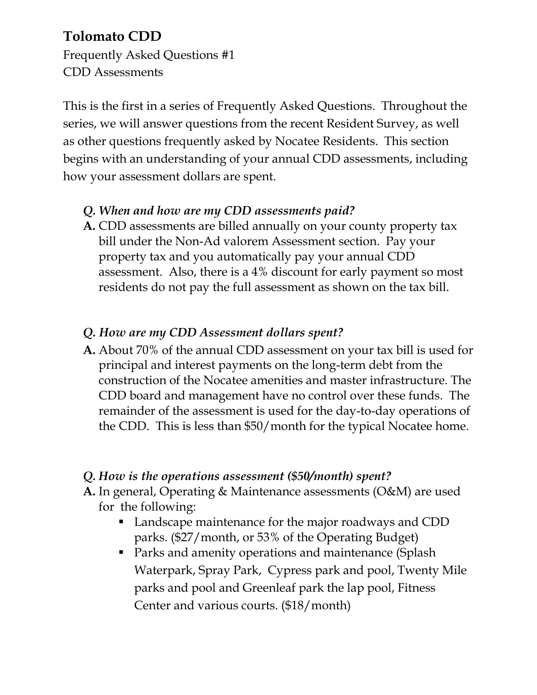# **Tolomato CDD**

Frequently Asked Questions #1 CDD Assessments

This is the first in a series of Frequently Asked Questions. Throughout the series, we will answer questions from the recent Resident Survey, as well as other questions frequently asked by Nocatee Residents. This section begins with an understanding of your annual CDD assessments, including how your assessment dollars are spent.

#### *Q. When and how are my CDD assessments paid?*

**A.** CDD assessments are billed annually on your county property tax bill under the Non-Ad valorem Assessment section. Pay your property tax and you automatically pay your annual CDD assessment. Also, there is a 4% discount for early payment so most residents do not pay the full assessment as shown on the tax bill.

## *Q. How are my CDD Assessment dollars spent?*

**A.** About 70% of the annual CDD assessment on your tax bill is used for principal and interest payments on the long-term debt from the construction of the Nocatee amenities and master infrastructure. The CDD board and management have no control over these funds. The remainder of the assessment is used for the day-to-day operations of the CDD. This is less than \$50/month for the typical Nocatee home.

#### *Q. How is the operations assessment (\$50/month) spent?*

- **A.** In general, Operating & Maintenance assessments (O&M) are used for the following:
	- Landscape maintenance for the major roadways and CDD parks. (\$27/month, or 53% of the Operating Budget)
	- **Parks and amenity operations and maintenance (Splash** Waterpark, Spray Park, Cypress park and pool, Twenty Mile parks and pool and Greenleaf park the lap pool, Fitness Center and various courts. (\$18/month)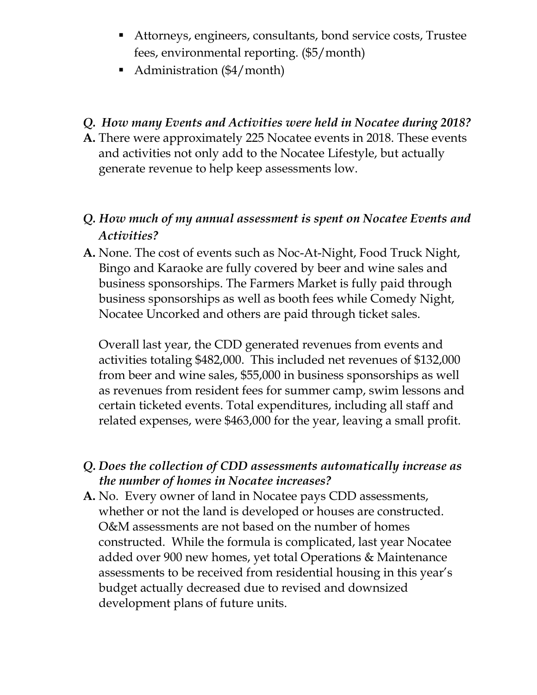- Attorneys, engineers, consultants, bond service costs, Trustee fees, environmental reporting. (\$5/month)
- Administration (\$4/month)

#### *Q. How many Events and Activities were held in Nocatee during 2018?*

**A.** There were approximately 225 Nocatee events in 2018. These events and activities not only add to the Nocatee Lifestyle, but actually generate revenue to help keep assessments low.

## *Q. How much of my annual assessment is spent on Nocatee Events and Activities?*

**A.** None. The cost of events such as Noc-At-Night, Food Truck Night, Bingo and Karaoke are fully covered by beer and wine sales and business sponsorships. The Farmers Market is fully paid through business sponsorships as well as booth fees while Comedy Night, Nocatee Uncorked and others are paid through ticket sales.

Overall last year, the CDD generated revenues from events and activities totaling \$482,000. This included net revenues of \$132,000 from beer and wine sales, \$55,000 in business sponsorships as well as revenues from resident fees for summer camp, swim lessons and certain ticketed events. Total expenditures, including all staff and related expenses, were \$463,000 for the year, leaving a small profit.

#### *Q. Does the collection of CDD assessments automatically increase as the number of homes in Nocatee increases?*

**A.** No. Every owner of land in Nocatee pays CDD assessments, whether or not the land is developed or houses are constructed. O&M assessments are not based on the number of homes constructed. While the formula is complicated, last year Nocatee added over 900 new homes, yet total Operations & Maintenance assessments to be received from residential housing in this year's budget actually decreased due to revised and downsized development plans of future units.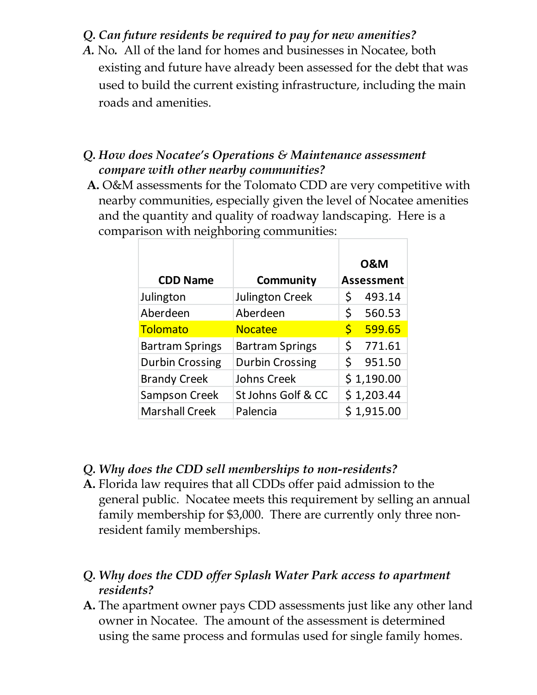#### *Q. Can future residents be required to pay for new amenities?*

*A.* No*.* All of the land for homes and businesses in Nocatee, both existing and future have already been assessed for the debt that was used to build the current existing infrastructure, including the main roads and amenities.

#### *Q. How does Nocatee's Operations & Maintenance assessment compare with other nearby communities?*

**A.** O&M assessments for the Tolomato CDD are very competitive with nearby communities, especially given the level of Nocatee amenities and the quantity and quality of roadway landscaping. Here is a comparison with neighboring communities:

|                        |                        | <b>0&amp;M</b>     |                   |
|------------------------|------------------------|--------------------|-------------------|
| <b>CDD Name</b>        | Community              |                    | <b>Assessment</b> |
| Julington              | <b>Julington Creek</b> | \$                 | 493.14            |
| Aberdeen               | Aberdeen               | \$                 | 560.53            |
| <b>Tolomato</b>        | <b>Nocatee</b>         | $\mathsf{\dot{S}}$ | 599.65            |
| <b>Bartram Springs</b> | <b>Bartram Springs</b> | \$                 | 771.61            |
| <b>Durbin Crossing</b> | <b>Durbin Crossing</b> | Ś                  | 951.50            |
| <b>Brandy Creek</b>    | Johns Creek            |                    | \$1,190.00        |
| <b>Sampson Creek</b>   | St Johns Golf & CC     |                    | \$1,203.44        |
| <b>Marshall Creek</b>  | Palencia               |                    | \$1,915.00        |

- *Q. Why does the CDD sell memberships to non-residents?*
- **A.** Florida law requires that all CDDs offer paid admission to the general public. Nocatee meets this requirement by selling an annual family membership for \$3,000. There are currently only three nonresident family memberships.

#### *Q. Why does the CDD offer Splash Water Park access to apartment residents?*

**A.** The apartment owner pays CDD assessments just like any other land owner in Nocatee. The amount of the assessment is determined using the same process and formulas used for single family homes.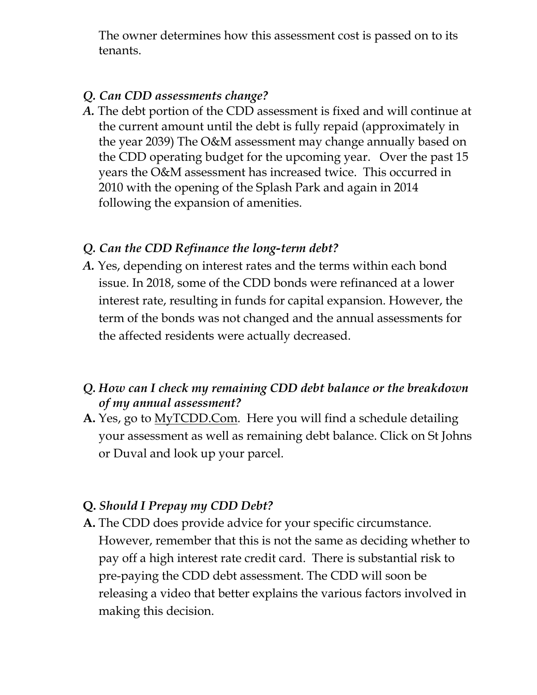The owner determines how this assessment cost is passed on to its tenants.

#### *Q. Can CDD assessments change?*

*A.* The debt portion of the CDD assessment is fixed and will continue at the current amount until the debt is fully repaid (approximately in the year 2039) The O&M assessment may change annually based on the CDD operating budget for the upcoming year. Over the past 15 years the O&M assessment has increased twice. This occurred in 2010 with the opening of the Splash Park and again in 2014 following the expansion of amenities.

#### *Q. Can the CDD Refinance the long-term debt?*

*A.* Yes, depending on interest rates and the terms within each bond issue. In 2018, some of the CDD bonds were refinanced at a lower interest rate, resulting in funds for capital expansion. However, the term of the bonds was not changed and the annual assessments for the affected residents were actually decreased.

## *Q. How can I check my remaining CDD debt balance or the breakdown of my annual assessment?*

**A.** Yes, go to MyTCDD.Com. Here you will find a schedule detailing your assessment as well as remaining debt balance. Click on St Johns or Duval and look up your parcel.

#### **Q.** *Should I Prepay my CDD Debt?*

**A.** The CDD does provide advice for your specific circumstance. However, remember that this is not the same as deciding whether to pay off a high interest rate credit card. There is substantial risk to pre-paying the CDD debt assessment. The CDD will soon be releasing a video that better explains the various factors involved in making this decision.